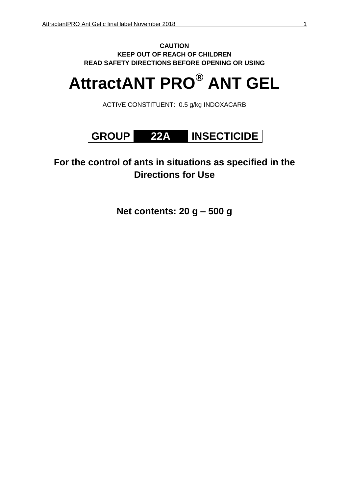**CAUTION KEEP OUT OF REACH OF CHILDREN READ SAFETY DIRECTIONS BEFORE OPENING OR USING**

# **AttractANT PRO ® ANT GEL**

ACTIVE CONSTITUENT: 0.5 g/kg INDOXACARB



**For the control of ants in situations as specified in the Directions for Use**

**Net contents: 20 g – 500 g**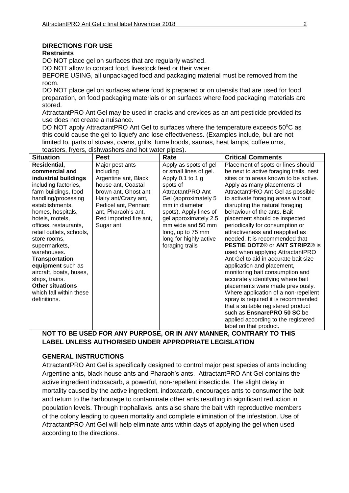#### **DIRECTIONS FOR USE**

#### **Restraints**

DO NOT place gel on surfaces that are regularly washed.

DO NOT allow to contact food, livestock feed or their water.

BEFORE USING, all unpackaged food and packaging material must be removed from the room.

DO NOT place gel on surfaces where food is prepared or on utensils that are used for food preparation, on food packaging materials or on surfaces where food packaging materials are stored.

AttractantPRO Ant Gel may be used in cracks and crevices as an ant pesticide provided its use does not create a nuisance.

DO NOT apply AttractantPRO Ant Gel to surfaces where the temperature exceeds  $50^{\circ}$ C as this could cause the gel to liquefy and lose effectiveness. (Examples include, but are not limited to, parts of stoves, ovens, grills, fume hoods, saunas, heat lamps, coffee urns,

| <b>Situation</b>         | <b>Pest</b>            | Rate                   | <b>Critical Comments</b>                |
|--------------------------|------------------------|------------------------|-----------------------------------------|
| Residential,             | Major pest ants        | Apply as spots of gel  | Placement of spots or lines should      |
| commercial and           | including              | or small lines of gel. | be next to active foraging trails, nest |
| industrial buildings     | Argentine ant, Black   | Apply 0.1 to 1 g       | sites or to areas known to be active.   |
| including factories,     | house ant, Coastal     | spots of               | Apply as many placements of             |
| farm buildings, food     | brown ant, Ghost ant,  | AttractantPRO Ant      | AttractantPRO Ant Gel as possible       |
| handling/processing      | Hairy ant/Crazy ant,   | Gel (approximately 5   | to activate foraging areas without      |
| establishments,          | Pedicel ant, Pennant   | mm in diameter         | disrupting the natural foraging         |
| homes, hospitals,        | ant, Pharaoh's ant,    | spots). Apply lines of | behaviour of the ants. Bait             |
| hotels, motels,          | Red imported fire ant, | gel approximately 2.5  | placement should be inspected           |
| offices, restaurants,    | Sugar ant              | mm wide and 50 mm      | periodically for consumption or         |
| retail outlets, schools, |                        | long, up to 75 mm      | attractiveness and reapplied as         |
| store rooms,             |                        | long for highly active | needed. It is recommended that          |
| supermarkets,            |                        | foraging trails        | <b>PESTIE DOTZ® or ANT STRIPZ® is</b>   |
| warehouses.              |                        |                        | used when applying AttractantPRO        |
| <b>Transportation</b>    |                        |                        | Ant Gel to aid in accurate bait size    |
| equipment such as        |                        |                        | application and placement,              |
| aircraft, boats, buses,  |                        |                        | monitoring bait consumption and         |
| ships, trains.           |                        |                        | accurately identifying where bait       |
| <b>Other situations</b>  |                        |                        | placements were made previously.        |
| which fall within these  |                        |                        | Where application of a non-repellent    |
| definitions.             |                        |                        | spray is required it is recommended     |
|                          |                        |                        | that a suitable registered product      |
|                          |                        |                        | such as EnsnarePRO 50 SC be             |
|                          |                        |                        | applied according to the registered     |
|                          |                        |                        | label on that product.                  |

toasters, fryers, dishwashers and hot water pipes).

# **NOT TO BE USED FOR ANY PURPOSE, OR IN ANY MANNER, CONTRARY TO THIS LABEL UNLESS AUTHORISED UNDER APPROPRIATE LEGISLATION**

## **GENERAL INSTRUCTIONS**

AttractantPRO Ant Gel is specifically designed to control major pest species of ants including Argentine ants, black house ants and Pharaoh's ants. AttractantPRO Ant Gel contains the active ingredient indoxacarb, a powerful, non-repellent insecticide. The slight delay in mortality caused by the active ingredient, indoxacarb, encourages ants to consumer the bait and return to the harbourage to contaminate other ants resulting in significant reduction in population levels. Through trophallaxis, ants also share the bait with reproductive members of the colony leading to queen mortality and complete elimination of the infestation. Use of AttractantPRO Ant Gel will help eliminate ants within days of applying the gel when used according to the directions.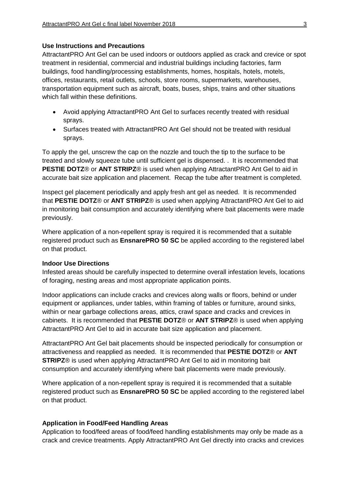## **Use Instructions and Precautions**

AttractantPRO Ant Gel can be used indoors or outdoors applied as crack and crevice or spot treatment in residential, commercial and industrial buildings including factories, farm buildings, food handling/processing establishments, homes, hospitals, hotels, motels, offices, restaurants, retail outlets, schools, store rooms, supermarkets, warehouses, transportation equipment such as aircraft, boats, buses, ships, trains and other situations which fall within these definitions.

- Avoid applying AttractantPRO Ant Gel to surfaces recently treated with residual sprays.
- Surfaces treated with AttractantPRO Ant Gel should not be treated with residual sprays.

To apply the gel, unscrew the cap on the nozzle and touch the tip to the surface to be treated and slowly squeeze tube until sufficient gel is dispensed. . It is recommended that **PESTIE DOTZ**® or **ANT STRIPZ**® is used when applying AttractantPRO Ant Gel to aid in accurate bait size application and placement. Recap the tube after treatment is completed.

Inspect gel placement periodically and apply fresh ant gel as needed. It is recommended that **PESTIE DOTZ**® or **ANT STRIPZ**® is used when applying AttractantPRO Ant Gel to aid in monitoring bait consumption and accurately identifying where bait placements were made previously.

Where application of a non-repellent spray is required it is recommended that a suitable registered product such as **EnsnarePRO 50 SC** be applied according to the registered label on that product.

#### **Indoor Use Directions**

Infested areas should be carefully inspected to determine overall infestation levels, locations of foraging, nesting areas and most appropriate application points.

Indoor applications can include cracks and crevices along walls or floors, behind or under equipment or appliances, under tables, within framing of tables or furniture, around sinks, within or near garbage collections areas, attics, crawl space and cracks and crevices in cabinets. It is recommended that **PESTIE DOTZ**® or **ANT STRIPZ**® is used when applying AttractantPRO Ant Gel to aid in accurate bait size application and placement.

AttractantPRO Ant Gel bait placements should be inspected periodically for consumption or attractiveness and reapplied as needed. It is recommended that **PESTIE DOTZ**® or **ANT STRIPZ**® is used when applying AttractantPRO Ant Gel to aid in monitoring bait consumption and accurately identifying where bait placements were made previously.

Where application of a non-repellent spray is required it is recommended that a suitable registered product such as **EnsnarePRO 50 SC** be applied according to the registered label on that product.

#### **Application in Food/Feed Handling Areas**

Application to food/feed areas of food/feed handling establishments may only be made as a crack and crevice treatments. Apply AttractantPRO Ant Gel directly into cracks and crevices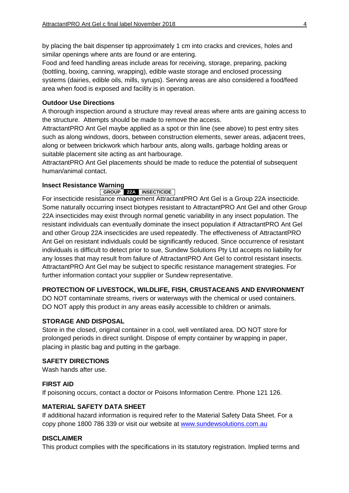by placing the bait dispenser tip approximately 1 cm into cracks and crevices, holes and similar openings where ants are found or are entering.

Food and feed handling areas include areas for receiving, storage, preparing, packing (bottling, boxing, canning, wrapping), edible waste storage and enclosed processing systems (dairies, edible oils, mills, syrups). Serving areas are also considered a food/feed area when food is exposed and facility is in operation.

#### **Outdoor Use Directions**

A thorough inspection around a structure may reveal areas where ants are gaining access to the structure. Attempts should be made to remove the access.

AttractantPRO Ant Gel maybe applied as a spot or thin line (see above) to pest entry sites such as along windows, doors, between construction elements, sewer areas, adjacent trees, along or between brickwork which harbour ants, along walls, garbage holding areas or suitable placement site acting as ant harbourage.

AttractantPRO Ant Gel placements should be made to reduce the potential of subsequent human/animal contact.

## **Insect Resistance Warning**

#### **GROUP 22A INSECTICIDE**

For insecticide resistance management AttractantPRO Ant Gel is a Group 22A insecticide. Some naturally occurring insect biotypes resistant to AttractantPRO Ant Gel and other Group 22A insecticides may exist through normal genetic variability in any insect population. The resistant individuals can eventually dominate the insect population if AttractantPRO Ant Gel and other Group 22A insecticides are used repeatedly. The effectiveness of AttractantPRO Ant Gel on resistant individuals could be significantly reduced. Since occurrence of resistant individuals is difficult to detect prior to sue, Sundew Solutions Pty Ltd accepts no liability for any losses that may result from failure of AttractantPRO Ant Gel to control resistant insects. AttractantPRO Ant Gel may be subject to specific resistance management strategies. For further information contact your supplier or Sundew representative.

# **PROTECTION OF LIVESTOCK, WILDLIFE, FISH, CRUSTACEANS AND ENVIRONMENT**

DO NOT contaminate streams, rivers or waterways with the chemical or used containers. DO NOT apply this product in any areas easily accessible to children or animals.

## **STORAGE AND DISPOSAL**

Store in the closed, original container in a cool, well ventilated area. DO NOT store for prolonged periods in direct sunlight. Dispose of empty container by wrapping in paper, placing in plastic bag and putting in the garbage.

## **SAFETY DIRECTIONS**

Wash hands after use.

## **FIRST AID**

If poisoning occurs, contact a doctor or Poisons Information Centre. Phone 121 126.

# **MATERIAL SAFETY DATA SHEET**

If additional hazard information is required refer to the Material Safety Data Sheet. For a copy phone 1800 786 339 or visit our website at [www.sundewsolutions.com.au](http://www.sundewsolutions.com.au/)

# **DISCLAIMER**

This product complies with the specifications in its statutory registration. Implied terms and